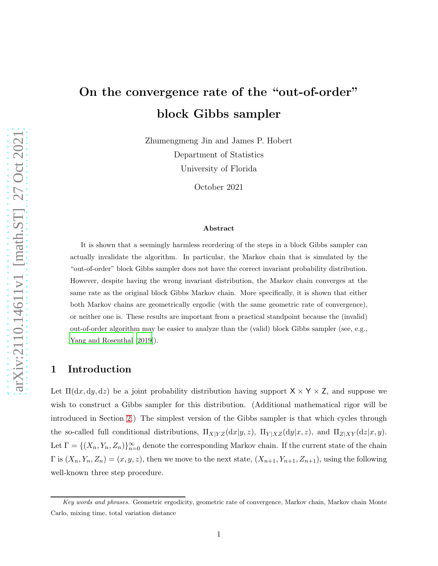# On the convergence rate of the "out-of-order" block Gibbs sampler

Zhumengmeng Jin and James P. Hobert Department of Statistics University of Florida

October 2021

#### Abstract

It is shown that a seemingly harmless reordering of the steps in a block Gibbs sampler can actually invalidate the algorithm. In particular, the Markov chain that is simulated by the "out-of-order" block Gibbs sampler does not have the correct invariant probability distribution. However, despite having the wrong invariant distribution, the Markov chain converges at the same rate as the original block Gibbs Markov chain. More specifically, it is shown that either both Markov chains are geometrically ergodic (with the same geometric rate of convergence), or neither one is. These results are important from a practical standpoint because the (invalid) out-of-order algorithm may be easier to analyze than the (valid) block Gibbs sampler (see, e.g., [Yang and Rosenthal \[2019](#page-12-0)]).

## 1 Introduction

Let  $\Pi(dx, dy, dz)$  be a joint probability distribution having support  $X \times Y \times Z$ , and suppose we wish to construct a Gibbs sampler for this distribution. (Additional mathematical rigor will be introduced in Section [2.](#page-4-0)) The simplest version of the Gibbs sampler is that which cycles through the so-called full conditional distributions,  $\Pi_{X|YZ}(\mathrm{d}x|y,z)$ ,  $\Pi_{Y|XZ}(\mathrm{d}y|x,z)$ , and  $\Pi_{Z|XY}(\mathrm{d}z|x,y)$ . Let  $\Gamma = \{(X_n, Y_n, Z_n)\}_{n=0}^{\infty}$  denote the corresponding Markov chain. If the current state of the chain  $\Gamma$  is  $(X_n, Y_n, Z_n) = (x, y, z)$ , then we move to the next state,  $(X_{n+1}, Y_{n+1}, Z_{n+1})$ , using the following well-known three step procedure.

Key words and phrases. Geometric ergodicity, geometric rate of convergence, Markov chain, Markov chain Monte Carlo, mixing time, total variation distance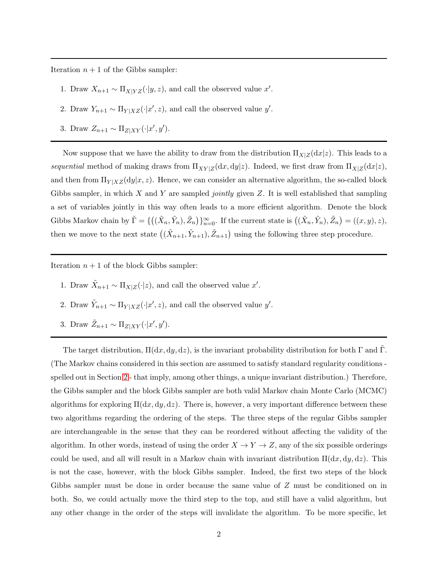Iteration  $n + 1$  of the Gibbs sampler:

- 1. Draw  $X_{n+1} \sim \prod_{X|YZ}(\cdot|y,z)$ , and call the observed value x'.
- 2. Draw  $Y_{n+1} \sim \prod_{Y|XZ}(\cdot|x',z)$ , and call the observed value y'.
- 3. Draw  $Z_{n+1} \sim \prod_{Z|XY}(\cdot | x', y').$

Now suppose that we have the ability to draw from the distribution  $\Pi_{X|Z}(dx|z)$ . This leads to a *sequential* method of making draws from  $\Pi_{XY|Z}(\mathrm{d}x, \mathrm{d}y|z)$ . Indeed, we first draw from  $\Pi_{X|Z}(\mathrm{d}x|z)$ , and then from  $\Pi_{Y|XZ}(dy|x,z)$ . Hence, we can consider an alternative algorithm, the so-called block Gibbs sampler, in which X and Y are sampled *jointly* given Z. It is well established that sampling a set of variables jointly in this way often leads to a more efficient algorithm. Denote the block Gibbs Markov chain by  $\tilde{\Gamma} = \{((\tilde{X}_n, \tilde{Y}_n), \tilde{Z}_n)\}_{n=0}^{\infty}$ . If the current state is  $((\tilde{X}_n, \tilde{Y}_n), \tilde{Z}_n) = ((x, y), z),$ then we move to the next state  $((\tilde{X}_{n+1}, \tilde{Y}_{n+1}), \tilde{Z}_{n+1})$  using the following three step procedure.

Iteration  $n + 1$  of the block Gibbs sampler:

- 1. Draw  $\tilde{X}_{n+1} \sim \prod_{X|Z}(\cdot|z)$ , and call the observed value x'.
- 2. Draw  $\tilde{Y}_{n+1} \sim \Pi_{Y|XZ}(\cdot | x', z)$ , and call the observed value y'.
- 3. Draw  $\tilde{Z}_{n+1} \sim \prod_{Z|XY}(\cdot | x', y').$

The target distribution,  $\Pi(dx, dy, dz)$ , is the invariant probability distribution for both  $\Gamma$  and  $\Gamma$ . (The Markov chains considered in this section are assumed to satisfy standard regularity conditions spelled out in Section [2](#page-4-0) - that imply, among other things, a unique invariant distribution.) Therefore, the Gibbs sampler and the block Gibbs sampler are both valid Markov chain Monte Carlo (MCMC) algorithms for exploring  $\Pi(dx, dy, dz)$ . There is, however, a very important difference between these two algorithms regarding the ordering of the steps. The three steps of the regular Gibbs sampler are interchangeable in the sense that they can be reordered without affecting the validity of the algorithm. In other words, instead of using the order  $X \to Y \to Z$ , any of the six possible orderings could be used, and all will result in a Markov chain with invariant distribution  $\Pi(dx, dy, dz)$ . This is not the case, however, with the block Gibbs sampler. Indeed, the first two steps of the block Gibbs sampler must be done in order because the same value of Z must be conditioned on in both. So, we could actually move the third step to the top, and still have a valid algorithm, but any other change in the order of the steps will invalidate the algorithm. To be more specific, let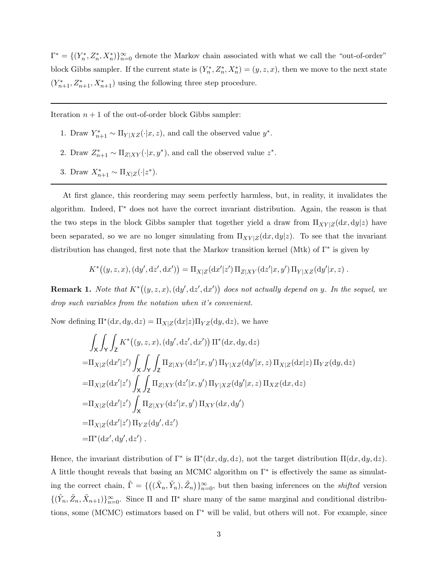$\Gamma^* = \{(Y_n^*, Z_n^*, X_n^*)\}_{n=0}^{\infty}$  denote the Markov chain associated with what we call the "out-of-order" block Gibbs sampler. If the current state is  $(Y_n^*, Z_n^*, X_n^*) = (y, z, x)$ , then we move to the next state  $(Y_{n+1}^*, Z_{n+1}^*, X_{n+1}^*)$  using the following three step procedure.

Iteration  $n + 1$  of the out-of-order block Gibbs sampler:

- 1. Draw  $Y_{n+1}^* \sim \Pi_{Y|XZ}(\cdot|x,z)$ , and call the observed value  $y^*$ .
- 2. Draw  $Z_{n+1}^* \sim \Pi_{Z|XY}(\cdot|x, y^*)$ , and call the observed value  $z^*$ .
- 3. Draw  $X_{n+1}^* \sim \Pi_{X|Z}(\cdot | z^*)$ .

At first glance, this reordering may seem perfectly harmless, but, in reality, it invalidates the algorithm. Indeed,  $\Gamma^*$  does not have the correct invariant distribution. Again, the reason is that the two steps in the block Gibbs sampler that together yield a draw from  $\Pi_{XY|Z}(dx, dy|z)$  have been separated, so we are no longer simulating from  $\Pi_{XY|Z}(dx, dy|z)$ . To see that the invariant distribution has changed, first note that the Markov transition kernel (Mtk) of Γ<sup>∗</sup> is given by

$$
K^*((y, z, x), (dy', dz', dx')) = \Pi_{X|Z}(dx'|z') \Pi_{Z|XY}(dz'|x, y') \Pi_{Y|XZ}(dy'|x, z) .
$$

**Remark 1.** *Note that*  $K^*(y, z, x), (dy', dz', dx')$  *does not actually depend on y. In the sequel, we drop such variables from the notation when it's convenient.*

Now defining  $\Pi^*(dx, dy, dz) = \Pi_{X|Z}(dx|z) \Pi_{YZ}(dy, dz)$ , we have

$$
\int_{X} \int_{Y} \int_{Z} K^*(y, z, x), (dy', dz', dx')) \Pi^*(dx, dy, dz)
$$
\n= $\Pi_{X|Z}(dx'|z') \int_{X} \int_{Y} \prod_{Z|XY}(dz'|x, y') \Pi_{Y|XZ}(dy'|x, z) \Pi_{X|Z}(dx|z) \Pi_{YZ}(dy, dz)$ \n= $\Pi_{X|Z}(dx'|z') \int_{X} \int_{Z} \Pi_{Z|XY}(dz'|x, y') \Pi_{Y|XZ}(dy'|x, z) \Pi_{XZ}(dx, dz)$ \n= $\Pi_{X|Z}(dx'|z') \int_{X} \Pi_{Z|XY}(dz'|x, y') \Pi_{XY}(dx, dy')$ \n= $\Pi_{X|Z}(dx'|z') \Pi_{YZ}(dy', dz')$ \n= $\Pi^*(dx', dy', dz').$ 

Hence, the invariant distribution of  $\Gamma^*$  is  $\Pi^*(dx, dy, dz)$ , not the target distribution  $\Pi(dx, dy, dz)$ . A little thought reveals that basing an MCMC algorithm on Γ<sup>∗</sup> is effectively the same as simulating the correct chain,  $\tilde{\Gamma} = \{((\tilde{X}_n, \tilde{Y}_n), \tilde{Z}_n)\}_{n=0}^{\infty}$ , but then basing inferences on the *shifted* version  $\{(\tilde{Y}_n, \tilde{Z}_n, \tilde{X}_{n+1})\}_{n=0}^{\infty}$ . Since  $\Pi$  and  $\Pi^*$  share many of the same marginal and conditional distributions, some (MCMC) estimators based on  $\Gamma^*$  will be valid, but others will not. For example, since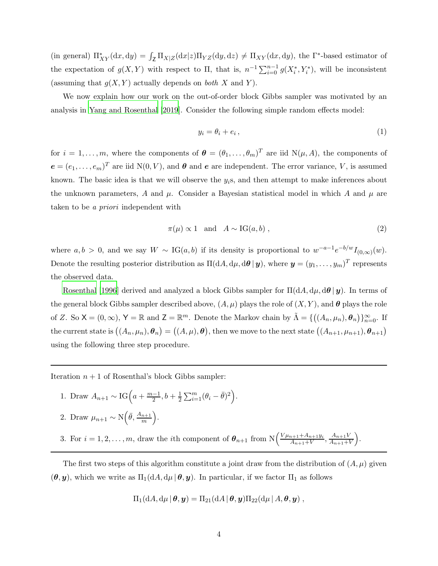(in general)  $\Pi_{XY}^*(dx, dy) = \int_Z \Pi_{X|Z}(dx|z) \Pi_{YZ}(dy, dz) \neq \Pi_{XY}(dx, dy)$ , the  $\Gamma^*$ -based estimator of the expectation of  $g(X, Y)$  with respect to  $\Pi$ , that is,  $n^{-1} \sum_{i=0}^{n-1} g(X_i^*, Y_i^*)$ , will be inconsistent (assuming that  $g(X, Y)$  actually depends on *both* X and Y).

We now explain how our work on the out-of-order block Gibbs sampler was motivated by an analysis in [Yang and Rosenthal \[2019](#page-12-0)]. Consider the following simple random effects model:

$$
y_i = \theta_i + e_i \,,\tag{1}
$$

for  $i = 1, \ldots, m$ , where the components of  $\boldsymbol{\theta} = (\theta_1, \ldots, \theta_m)^T$  are iid  $N(\mu, A)$ , the components of  $e = (e_1, \ldots, e_m)^T$  are iid  $N(0, V)$ , and  $\theta$  and  $e$  are independent. The error variance, V, is assumed known. The basic idea is that we will observe the  $y_i$ s, and then attempt to make inferences about the unknown parameters, A and  $\mu$ . Consider a Bayesian statistical model in which A and  $\mu$  are taken to be *a priori* independent with

$$
\pi(\mu) \propto 1 \quad \text{and} \quad A \sim \text{IG}(a, b) \tag{2}
$$

where  $a, b > 0$ , and we say  $W \sim \text{IG}(a, b)$  if its density is proportional to  $w^{-a-1}e^{-b/w}I_{(0,\infty)}(w)$ . Denote the resulting posterior distribution as  $\Pi(\mathrm{d}A,\mathrm{d}\mu,\mathrm{d}\bm{\theta}\,|\,\bm{y}),$  where  $\bm{y}=(y_1,\ldots,y_m)^T$  represents the observed data.

[Rosenthal \[1996](#page-12-1)] derived and analyzed a block Gibbs sampler for  $\Pi(dA, d\mu, d\theta | y)$ . In terms of the general block Gibbs sampler described above,  $(A, \mu)$  plays the role of  $(X, Y)$ , and  $\theta$  plays the role of Z. So  $\mathsf{X} = (0, \infty)$ ,  $\mathsf{Y} = \mathbb{R}$  and  $\mathsf{Z} = \mathbb{R}^m$ . Denote the Markov chain by  $\tilde{\Lambda} = \{((A_n, \mu_n), \theta_n)\}_{n=0}^{\infty}$ . If the current state is  $((A_n,\mu_n),\theta_n) = ((A,\mu),\theta)$ , then we move to the next state  $((A_{n+1},\mu_{n+1}),\theta_{n+1})$ using the following three step procedure.

Iteration  $n + 1$  of Rosenthal's block Gibbs sampler:

- 1. Draw  $A_{n+1} \sim \text{IG}\left(a + \frac{m-1}{2}, b + \frac{1}{2}\sum_{i=1}^{m}(\theta_i \bar{\theta})^2\right)$ .
- 2. Draw  $\mu_{n+1} \sim \mathrm{N}\left(\bar{\theta}, \frac{A_{n+1}}{m}\right)$ .
- 3. For  $i = 1, 2, \ldots, m$ , draw the *i*th component of  $\theta_{n+1}$  from  $N\left(\frac{V\mu_{n+1} + A_{n+1}y_i}{A_{n+1} + V}\right)$  $\frac{A_{n+1}+A_{n+1}y_i}{A_{n+1}+V}, \frac{A_{n+1}y_i}{A_{n+1}+V}$  $\frac{A_{n+1}V}{A_{n+1}+V}$ .

The first two steps of this algorithm constitute a joint draw from the distribution of  $(A, \mu)$  given  $(\theta, y)$ , which we write as  $\Pi_1(dA, d\mu | \theta, y)$ . In particular, if we factor  $\Pi_1$  as follows

$$
\Pi_1(\mathrm{d}A,\mathrm{d}\mu\,|\,\boldsymbol{\theta},\boldsymbol{y})=\Pi_{21}(\mathrm{d}A\,|\,\boldsymbol{\theta},\boldsymbol{y})\Pi_{22}(\mathrm{d}\mu\,|\,A,\boldsymbol{\theta},\boldsymbol{y})\;,
$$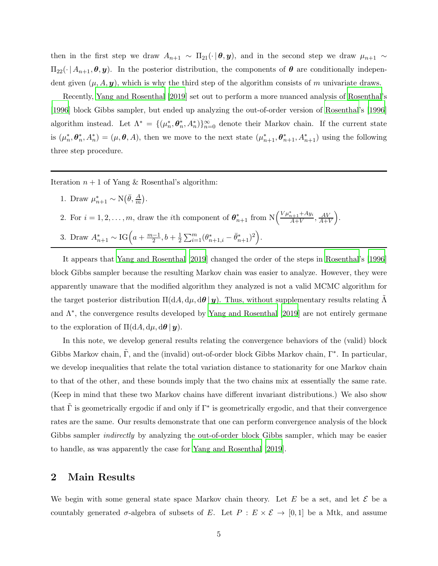then in the first step we draw  $A_{n+1} \sim \Pi_{21}(\cdot | \theta, y)$ , and in the second step we draw  $\mu_{n+1} \sim$  $\Pi_{22}(\cdot \mid A_{n+1}, \theta, y)$ . In the posterior distribution, the components of  $\theta$  are conditionally independent given  $(\mu, A, y)$ , which is why the third step of the algorithm consists of m univariate draws.

Recently, [Yang and Rosenthal \[2019](#page-12-0)] set out to perform a more nuanced analysis of [Rosenthal'](#page-12-1)s [\[1996\]](#page-12-1) block Gibbs sampler, but ended up analyzing the out-of-order version of [Rosenthal'](#page-12-1)s [\[1996](#page-12-1)] algorithm instead. Let  $\Lambda^* = \{(\mu_n^*, \theta_n^*, A_n^*)\}_{n=0}^{\infty}$  denote their Markov chain. If the current state is  $(\mu_n^*, \theta_n^*, A_n^*) = (\mu, \theta, A)$ , then we move to the next state  $(\mu_{n+1}^*, \theta_{n+1}^*, A_{n+1}^*)$  using the following three step procedure.

Iteration  $n + 1$  of Yang & Rosenthal's algorithm:

- 1. Draw  $\mu_{n+1}^* \sim \mathrm{N}\left(\bar{\theta}, \frac{A}{m}\right)$ .
- 2. For  $i = 1, 2, ..., m$ , draw the *i*th component of  $\theta_{n+1}^*$  from  $N\left(\frac{V\mu_{n+1}^* + Ay_i}{A+V}\right)$  $\frac{A_{n+1} + Ay_i}{A+V}, \frac{AV}{A+V}$  $\frac{AV}{A+V}$ .
- 3. Draw  $A_{n+1}^* \sim IG \left( a + \frac{m-1}{2} \right)$  $\frac{-1}{2}, b + \frac{1}{2}$  $\frac{1}{2}\sum_{i=1}^{m}(\theta_{n+1,i}^*-\bar{\theta}_{n+1}^*)^2\Big).$

It appears that [Yang and Rosenthal \[2019](#page-12-0)] changed the order of the steps in [Rosenthal](#page-12-1)'s [\[1996](#page-12-1)] block Gibbs sampler because the resulting Markov chain was easier to analyze. However, they were apparently unaware that the modified algorithm they analyzed is not a valid MCMC algorithm for the target posterior distribution  $\Pi(dA, d\mu, d\theta | y)$ . Thus, without supplementary results relating  $\Lambda$ and Λ<sup>∗</sup> , the convergence results developed by [Yang and Rosenthal \[2019\]](#page-12-0) are not entirely germane to the exploration of  $\Pi(dA, d\mu, d\theta | y)$ .

In this note, we develop general results relating the convergence behaviors of the (valid) block Gibbs Markov chain,  $\tilde{\Gamma}$ , and the (invalid) out-of-order block Gibbs Markov chain,  $\Gamma^*$ . In particular, we develop inequalities that relate the total variation distance to stationarity for one Markov chain to that of the other, and these bounds imply that the two chains mix at essentially the same rate. (Keep in mind that these two Markov chains have different invariant distributions.) We also show that  $\tilde{\Gamma}$  is geometrically ergodic if and only if  $\Gamma^*$  is geometrically ergodic, and that their convergence rates are the same. Our results demonstrate that one can perform convergence analysis of the block Gibbs sampler *indirectly* by analyzing the out-of-order block Gibbs sampler, which may be easier to handle, as was apparently the case for [Yang and Rosenthal \[2019](#page-12-0)].

#### <span id="page-4-0"></span>2 Main Results

We begin with some general state space Markov chain theory. Let E be a set, and let  $\mathcal E$  be a countably generated  $\sigma$ -algebra of subsets of E. Let  $P : E \times \mathcal{E} \to [0,1]$  be a Mtk, and assume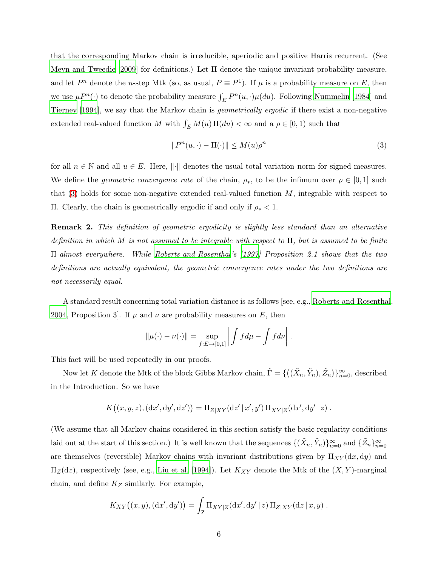that the corresponding Markov chain is irreducible, aperiodic and positive Harris recurrent. (See [Meyn and Tweedie \[2009](#page-11-0)] for definitions.) Let Π denote the unique invariant probability measure, and let P<sup>n</sup> denote the n-step Mtk (so, as usual,  $P \equiv P^1$ ). If  $\mu$  is a probability measure on E, then we use  $\mu P^{n}(\cdot)$  to denote the probability measure  $\int_{E} P^{n}(u, \cdot) \mu(du)$ . Following [Nummelin \[1984](#page-11-1)] and [Tierney \[1994](#page-12-2)], we say that the Markov chain is *geometrically ergodic* if there exist a non-negative extended real-valued function M with  $\int_E M(u) \Pi(du) < \infty$  and a  $\rho \in [0, 1)$  such that

<span id="page-5-0"></span>
$$
||P^n(u, \cdot) - \Pi(\cdot)|| \le M(u)\rho^n \tag{3}
$$

for all  $n \in \mathbb{N}$  and all  $u \in E$ . Here,  $\| \cdot \|$  denotes the usual total variation norm for signed measures. We define the *geometric convergence rate* of the chain,  $\rho_*$ , to be the infimum over  $\rho \in [0,1]$  such that  $(3)$  holds for some non-negative extended real-valued function M, integrable with respect to Π. Clearly, the chain is geometrically ergodic if and only if ρ<sup>∗</sup> < 1.

Remark 2. *This definition of geometric ergodicity is slightly less standard than an alternative definition in which* M *is not assumed to be integrable with respect to* Π*, but is assumed to be finite* Π*-almost everywhere. While [Roberts and Rosenthal](#page-11-2)'s [\[1997](#page-11-2)] Proposition 2.1 shows that the two definitions are actually equivalent, the geometric convergence rates under the two definitions are not necessarily equal.*

A standard result concerning total variation distance is as follows [see, e.g., [Roberts and Rosenthal](#page-11-3), [2004,](#page-11-3) Proposition 3. If  $\mu$  and  $\nu$  are probability measures on E, then

$$
\|\mu(\cdot) - \nu(\cdot)\| = \sup_{f:E \to [0,1]} \left| \int f d\mu - \int f d\nu \right|.
$$

This fact will be used repeatedly in our proofs.

Now let K denote the Mtk of the block Gibbs Markov chain,  $\tilde{\Gamma} = \{((\tilde{X}_n, \tilde{Y}_n), \tilde{Z}_n)\}_{n=0}^{\infty}$ , described in the Introduction. So we have

$$
K((x, y, z), (dx', dy', dz')) = \Pi_{Z|XY}(dz' | x', y') \Pi_{XY|Z}(dx', dy' | z) .
$$

(We assume that all Markov chains considered in this section satisfy the basic regularity conditions laid out at the start of this section.) It is well known that the sequences  $\{(\tilde{X}_n, \tilde{Y}_n)\}_{n=0}^{\infty}$  and  $\{\tilde{Z}_n\}_{n=0}^{\infty}$ are themselves (reversible) Markov chains with invariant distributions given by  $\Pi_{XY}(dx, dy)$  and  $\Pi_Z(\text{d}z)$ , respectively (see, e.g., [Liu et al. \[1994](#page-11-4)]). Let  $K_{XY}$  denote the Mtk of the  $(X, Y)$ -marginal chain, and define  $K_Z$  similarly. For example,

$$
K_{XY}((x,y), (dx', dy')) = \int_Z \Pi_{XY|Z}(dx', dy'|z) \Pi_{Z|XY}(dz | x, y) .
$$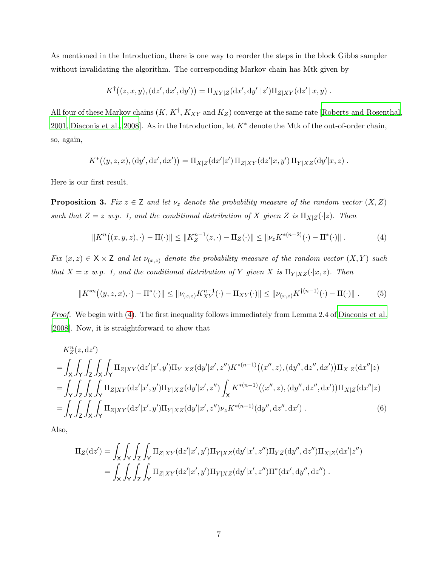As mentioned in the Introduction, there is one way to reorder the steps in the block Gibbs sampler without invalidating the algorithm. The corresponding Markov chain has Mtk given by

$$
K^{\dagger}((z,x,y),(\mathrm{d}z',\mathrm{d}x',\mathrm{d}y')) = \Pi_{XY|Z}(\mathrm{d}x',\mathrm{d}y' | z')\Pi_{Z|XY}(\mathrm{d}z' | x,y) .
$$

All four of these Markov chains  $(K, K^{\dagger}, K_{XY}$  and  $K_Z)$  converge at the same rate [\[Roberts and Rosenthal,](#page-11-5) [2001,](#page-11-5) [Diaconis et al., 2008](#page-11-6)]. As in the Introduction, let  $K^*$  denote the Mtk of the out-of-order chain, so, again,

$$
K^*((y, z, x), (dy', dz', dx')) = \Pi_{X|Z}(dx'|z') \Pi_{Z|XY}(dz'|x, y') \Pi_{Y|XZ}(dy'|x, z) .
$$

Here is our first result.

<span id="page-6-2"></span>**Proposition 3.** *Fix*  $z \in \mathsf{Z}$  *and let*  $\nu_z$  *denote the probability measure of the random vector*  $(X, Z)$ *such that*  $Z = z$  *w.p.* 1, and the conditional distribution of X given Z is  $\Pi_{X|Z}(\cdot|z)$ *. Then* 

<span id="page-6-0"></span>
$$
||K^{n}((x,y,z),\cdot) - \Pi(\cdot)|| \le ||K_{Z}^{n-1}(z,\cdot) - \Pi_{Z}(\cdot)|| \le ||\nu_{z}K^{*(n-2)}(\cdot) - \Pi^{*}(\cdot)||.
$$
 (4)

*Fix*  $(x, z) \in X \times Z$  *and let*  $\nu_{(x, z)}$  *denote the probability measure of the random vector*  $(X, Y)$  *such that*  $X = x$  *w.p.* 1, and the conditional distribution of Y given X is  $\Pi_{Y|XZ}(\cdot|x, z)$ *. Then* 

<span id="page-6-1"></span>
$$
||K^{*n}((y,z,x),\cdot) - \Pi^*(\cdot)|| \le ||\nu_{(x,z)}K_{XY}^{n-1}(\cdot) - \Pi_{XY}(\cdot)|| \le ||\nu_{(x,z)}K^{\dagger(n-1)}(\cdot) - \Pi(\cdot)||.
$$
 (5)

*Proof.* We begin with [\(4\)](#page-6-0). The first inequality follows immediately from Lemma 2.4 of [Diaconis et al.](#page-11-6) [\[2008\]](#page-11-6). Now, it is straightforward to show that

$$
K_Z^n(z, dz')
$$
  
=  $\int_X \int_Y \int_Z \int_X \int_Y \Pi_{Z|XY}(\mathrm{d}z'|x', y') \Pi_{Y|XZ}(\mathrm{d}y'|x', z'') K^{*(n-1)}((x'', z), (\mathrm{d}y'', \mathrm{d}z'', \mathrm{d}x')) \Pi_{X|Z}(\mathrm{d}x''|z)$   
=  $\int_Y \int_Z \int_X \int_Y \Pi_{Z|XY}(\mathrm{d}z'|x', y') \Pi_{Y|XZ}(\mathrm{d}y'|x', z'') \int_X K^{*(n-1)}((x'', z), (\mathrm{d}y'', \mathrm{d}z'', \mathrm{d}x')) \Pi_{X|Z}(\mathrm{d}x''|z)$   
=  $\int_Y \int_Z \int_X \int_Y \Pi_{Z|XY}(\mathrm{d}z'|x', y') \Pi_{Y|XZ}(\mathrm{d}y'|x', z'') \nu_z K^{*(n-1)}(\mathrm{d}y'', \mathrm{d}z'', \mathrm{d}x')$ . (6)

Also,

<span id="page-6-3"></span>
$$
\Pi_Z(\mathrm{d}z') = \int_X \int_Y \int_Z \int_Y \Pi_{Z|XY}(\mathrm{d}z'|x',y') \Pi_{Y|XZ}(\mathrm{d}y'|x',z'') \Pi_{YZ}(\mathrm{d}y'',\mathrm{d}z'') \Pi_{X|Z}(\mathrm{d}x'|z'') \n= \int_X \int_Y \int_Z \int_Y \Pi_{Z|XY}(\mathrm{d}z'|x',y') \Pi_{Y|XZ}(\mathrm{d}y'|x',z'') \Pi^*(\mathrm{d}x',\mathrm{d}y'',\mathrm{d}z'') .
$$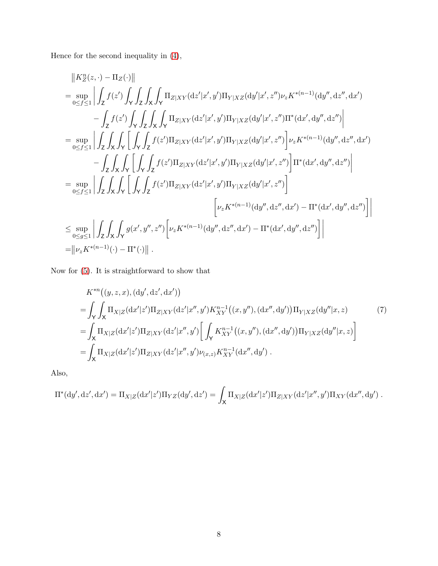Hence for the second inequality in [\(4\)](#page-6-0),

$$
\begin{split} &\left\|K_Z^n(z,\cdot)-\Pi_Z(\cdot)\right\|\\ &=\sup_{0\leq f\leq 1}\left|\int_Z f(z')\int_Y\int_Z\int_X\int_Y\Pi_{Z|XY}(\mathrm{d}z'|x',y')\Pi_{Y|XZ}(\mathrm{d}y'|x',z'')\nu_zK^{*(n-1)}(\mathrm{d}y'',\mathrm{d}z'',\mathrm{d}x')\right.\\ &\left.-\int_Z f(z')\int_Y\int_Z\int_X\int_Y\Pi_{Z|XY}(\mathrm{d}z'|x',y')\Pi_{Y|XZ}(\mathrm{d}y'|x',z'')\Pi^*(\mathrm{d}x',\mathrm{d}y'',\mathrm{d}z'')\right|\\ &=\sup_{0\leq f\leq 1}\left|\int_Z\int_X\int_Y\left[\int_Y\int_Z f(z')\Pi_{Z|XY}(\mathrm{d}z'|x',y')\Pi_{Y|XZ}(\mathrm{d}y'|x',z'')\right]\nu_zK^{*(n-1)}(\mathrm{d}y'',\mathrm{d}z'',\mathrm{d}x')\right.\\ &\left.-\int_Z\int_X\int_Y\left[\int_Y\int_Z f(z')\Pi_{Z|XY}(\mathrm{d}z'|x',y')\Pi_{Y|XZ}(\mathrm{d}y'|x',z'')\right]\Pi^*(\mathrm{d}x',\mathrm{d}y'',\mathrm{d}z'')\right|\\ &=\sup_{0\leq f\leq 1}\left|\int_Z\int_X\int_Y\left[\int_Y\int_Z f(z')\Pi_{Z|XY}(\mathrm{d}z'|x',y')\Pi_{Y|XZ}(\mathrm{d}y'|x',z'')\right]\\ &\left[\nu_zK^{*(n-1)}(\mathrm{d}y'',\mathrm{d}z'',\mathrm{d}x')-\Pi^*(\mathrm{d}x',\mathrm{d}y'',\mathrm{d}z'')\right]\right|\\ &=\|\nu_zK^{*(n-1)}(\cdot)-\Pi^*(\cdot)\| \ .\end{split}
$$

Now for [\(5\)](#page-6-1). It is straightforward to show that

<span id="page-7-0"></span>
$$
K^{*n}((y, z, x), (dy', dz', dx'))
$$
  
=  $\int_{Y} \int_{X} \Pi_{X|Z}(dx'|z')\Pi_{Z|XY}(dz'|x'', y')K_{XY}^{n-1}((x, y''), (dx'', dy'))\Pi_{Y|XZ}(dy''|x, z)$  (7)  
=  $\int_{X} \Pi_{X|Z}(dx'|z')\Pi_{Z|XY}(dz'|x'', y') \left[ \int_{Y} K_{XY}^{n-1}((x, y''), (dx'', dy'))\Pi_{Y|XZ}(dy''|x, z) \right]$   
=  $\int_{X} \Pi_{X|Z}(dx'|z')\Pi_{Z|XY}(dz'|x'', y')\nu_{(x, z)}K_{XY}^{n-1}(dx'', dy').$ 

Also,

$$
\Pi^*(dy', dz', dx') = \Pi_{X|Z}(dx'|z')\Pi_{YZ}(dy', dz') = \int_X \Pi_{X|Z}(dx'|z')\Pi_{Z|XY}(dz'|x'', y')\Pi_{XY}(dx'', dy') .
$$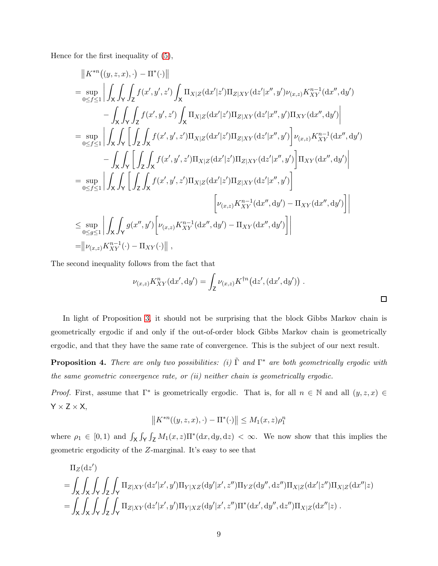Hence for the first inequality of [\(5\)](#page-6-1),

$$
||K^{*n}((y,z,x),\cdot)-\Pi^{*}(\cdot)||
$$
\n
$$
= \sup_{0\leq f\leq 1} \left| \int_{X} \int_{Y} \int_{Z} f(x',y',z') \int_{X} \Pi_{X|Z}(\mathrm{d}x'|z') \Pi_{Z|XY}(\mathrm{d}z'|x'',y') \nu_{(x,z)} K_{XY}^{n-1}(\mathrm{d}x'',\mathrm{d}y') - \int_{X} \int_{Y} \int_{Z} f(x',y',z') \int_{X} \Pi_{X|Z}(\mathrm{d}x'|z') \Pi_{Z|XY}(\mathrm{d}z'|x'',y') \Pi_{XY}(\mathrm{d}x'',\mathrm{d}y') \right|
$$
\n
$$
= \sup_{0\leq f\leq 1} \left| \int_{X} \int_{Y} \left[ \int_{Z} \int_{X} f(x',y',z') \Pi_{X|Z}(\mathrm{d}x'|z') \Pi_{Z|XY}(\mathrm{d}z'|x'',y') \right] \nu_{(x,z)} K_{XY}^{n-1}(\mathrm{d}x'',\mathrm{d}y') - \int_{X} \int_{Y} \left[ \int_{Z} \int_{X} f(x',y',z') \Pi_{X|Z}(\mathrm{d}x'|z') \Pi_{Z|XY}(\mathrm{d}z'|x'',y') \right] \Pi_{XY}(\mathrm{d}x'',\mathrm{d}y') \right|
$$
\n
$$
= \sup_{0\leq f\leq 1} \left| \int_{X} \int_{Y} \left[ \int_{Z} \int_{X} f(x',y',z') \Pi_{X|Z}(\mathrm{d}x'|z') \Pi_{Z|XY}(\mathrm{d}z'|x'',y') \right] - \int_{XY} (\mathrm{d}x'',\mathrm{d}y') \right|
$$
\n
$$
\left[ \nu_{(x,z)} K_{XY}^{n-1}(\mathrm{d}x'',\mathrm{d}y') - \Pi_{XY}(\mathrm{d}x'',\mathrm{d}y') \right] \right|
$$
\n
$$
\leq \sup_{0\leq g\leq 1} \left| \int_{X} \int_{Y} g(x'',y') \left[ \nu_{(x,z)} K_{XY}^{n-1}(\mathrm{d}x'',\mathrm{d}y') - \Pi_{XY}(\mathrm{d}x'',\mathrm{d}y') \right] \right|
$$
\n
$$
= ||\nu_{(x,z)} K_{XY}^{n-1}(\
$$

The second inequality follows from the fact that

$$
\nu_{(x,z)} K_{XY}^n(\mathrm{d}x',\mathrm{d}y') = \int_Z \nu_{(x,z)} K^{\dagger n}(\mathrm{d}z',(\mathrm{d}x',\mathrm{d}y')) .
$$

In light of Proposition [3,](#page-6-2) it should not be surprising that the block Gibbs Markov chain is geometrically ergodic if and only if the out-of-order block Gibbs Markov chain is geometrically ergodic, and that they have the same rate of convergence. This is the subject of our next result.

Proposition 4. *There are only two possibilities: (i)* Γ˜ *and* Γ <sup>∗</sup> *are both geometrically ergodic with the same geometric convergence rate, or (ii) neither chain is geometrically ergodic.*

*Proof.* First, assume that  $\Gamma^*$  is geometrically ergodic. That is, for all  $n \in \mathbb{N}$  and all  $(y, z, x) \in$  $Y \times Z \times X$ ,

$$
||K^{*n}((y, z, x), \cdot) - \Pi^*(\cdot)|| \le M_1(x, z)\rho_1^n
$$

where  $\rho_1 \in [0,1)$  and  $\int_X \int_Y \int_Z M_1(x,z) \Pi^*(dx,dy,dz) < \infty$ . We now show that this implies the geometric ergodicity of the Z-marginal. It's easy to see that

$$
\Pi_Z(\mathrm{d}z')\n= \int_X \int_X \int_Y \int_Z \int_Y \Pi_{Z|XY}(\mathrm{d}z'|x',y') \Pi_{Y|XZ}(\mathrm{d}y'|x',z'') \Pi_{YZ}(\mathrm{d}y'',\mathrm{d}z'') \Pi_{X|Z}(\mathrm{d}x'|z'') \Pi_{X|Z}(\mathrm{d}x''|z)\n= \int_X \int_X \int_Y \int_Z \int_Y \Pi_{Z|XY}(\mathrm{d}z'|x',y') \Pi_{Y|XZ}(\mathrm{d}y'|x',z'') \Pi^*(\mathrm{d}x',\mathrm{d}y'',\mathrm{d}z'') \Pi_{X|Z}(\mathrm{d}x''|z) .
$$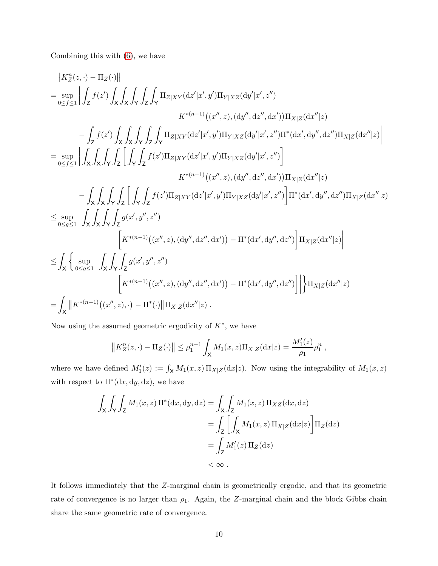Combining this with [\(6\)](#page-6-3), we have

$$
\|K_{2}^{n}(z,\cdot)-\Pi_{Z}(\cdot)\|
$$
\n
$$
=\sup_{0\leq f\leq 1}\left|\int_{Z}f(z')\int_{X}\int_{X}\int_{Y}\int_{Z}\int_{Y}\Pi_{Z|XY}(\mathrm{d}z'|x',y')\Pi_{Y|XZ}(\mathrm{d}y'|x',z'')\right|
$$
\n
$$
K^{*(n-1)}((x'',z),(dy'',\mathrm{d}x'',\mathrm{d}x'))\Pi_{X|Z}(\mathrm{d}x''|z)
$$
\n
$$
-\int_{Z}f(z')\int_{X}\int_{X}\int_{Y}\int_{Z}\int_{Y}\Pi_{Z|XY}(\mathrm{d}z'|x',y')\Pi_{Y|XZ}(\mathrm{d}y'|x',z'')\Pi^{*}(\mathrm{d}x',\mathrm{d}y'',\mathrm{d}z'')\Pi_{X|Z}(\mathrm{d}x''|z)\right|
$$
\n
$$
=\sup_{0\leq f\leq 1}\left|\int_{X}\int_{X}\int_{Y}\int_{Z}\int_{Z}\int_{Y}f(z')\Pi_{Z|XY}(\mathrm{d}z'|x',y')\Pi_{Y|XZ}(\mathrm{d}y'|x',z'')\right|
$$
\n
$$
K^{*(n-1)}((x'',z),(dy'',\mathrm{d}x'')\Pi_{X|Z}(\mathrm{d}x''|z)
$$
\n
$$
-\int_{X}\int_{X}\int_{Y}\int_{Z}\int_{Y}\int_{Z}f(z')\Pi_{Z|XY}(\mathrm{d}z'|x',y')\Pi_{Y|XZ}(\mathrm{d}y'|x',z'')\right]\Pi^{*}(\mathrm{d}x',\mathrm{d}y'',\mathrm{d}z'')\Pi_{X|Z}(\mathrm{d}x''|z)\right|
$$
\n
$$
\leq \sup_{0\leq g\leq 1}\left|\int_{X}\int_{X}\int_{Y}\int_{Z}g(x',y'',z'')\right|\left[K^{*(n-1)}((x'',z),(dy'',\mathrm{d}x''),\mathrm{d}y''',\mathrm{d}z'')\right]\Pi_{X|Z}(\mathrm{d}x''|z)\right|
$$
\n
$$
=\int_{X}\left\{\sup_{0\leq g\leq 1}\left|\int_{X}\int_{Y}\int_{Z}g(x',y'',z'')\right|\left[K^{*(n-1)}((x'',z),(dy'',\mathrm{d}x''),\mathrm{d}y'',\
$$

Now using the assumed geometric ergodicity of  $K^*$ , we have

$$
||K_Z^n(z, \cdot) - \Pi_Z(\cdot)|| \le \rho_1^{n-1} \int_X M_1(x, z) \Pi_{X|Z}(\mathrm{d}x|z) = \frac{M'_1(z)}{\rho_1} \rho_1^n,
$$

where we have defined  $M'_1(z) := \int_X M_1(x, z) \Pi_{X|Z}(\mathrm{d}x|z)$ . Now using the integrability of  $M_1(x, z)$ with respect to  $\Pi^*(dx, dy, dz)$ , we have

$$
\int_{X} \int_{Y} \int_{Z} M_{1}(x, z) \Pi^{*}(dx, dy, dz) = \int_{X} \int_{Z} M_{1}(x, z) \Pi_{XZ}(dx, dz)
$$

$$
= \int_{Z} \left[ \int_{X} M_{1}(x, z) \Pi_{X|Z}(dx|z) \right] \Pi_{Z}(dz)
$$

$$
= \int_{Z} M'_{1}(z) \Pi_{Z}(dz)
$$

$$
< \infty.
$$

It follows immediately that the Z-marginal chain is geometrically ergodic, and that its geometric rate of convergence is no larger than  $\rho_1$ . Again, the Z-marginal chain and the block Gibbs chain share the same geometric rate of convergence.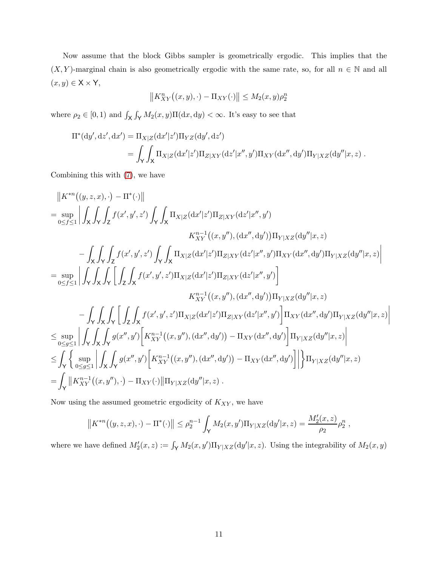Now assume that the block Gibbs sampler is geometrically ergodic. This implies that the  $(X, Y)$ -marginal chain is also geometrically ergodic with the same rate, so, for all  $n \in \mathbb{N}$  and all  $(x,y)\in \mathsf{X}\times\mathsf{Y},$ 

$$
||K_{XY}^n((x,y),\cdot)-\Pi_{XY}(\cdot)|| \leq M_2(x,y)\rho_2^n
$$

where  $\rho_2 \in [0,1)$  and  $\int_{\mathsf{X}} \int_{\mathsf{Y}} M_2(x,y) \Pi(dx, dy) < \infty$ . It's easy to see that

$$
\Pi^*(\mathrm{d}y',\mathrm{d}z',\mathrm{d}x') = \Pi_{X|Z}(\mathrm{d}x'|z')\Pi_{YZ}(\mathrm{d}y',\mathrm{d}z')
$$
  
= 
$$
\int_Y \int_X \Pi_{X|Z}(\mathrm{d}x'|z')\Pi_{Z|XY}(\mathrm{d}z'|x'',y')\Pi_{XY}(\mathrm{d}x'',\mathrm{d}y')\Pi_{Y|XZ}(\mathrm{d}y''|x,z) .
$$

Combining this with [\(7\)](#page-7-0), we have

$$
\|K^{*n}((y,z,x),\cdot)-\Pi^*(\cdot)\| \n= \sup_{0\leq f\leq 1}\left|\int_{X}\int_{Y}\int_{Z}f(x',y',z')\int_{Y}\int_{X}\Pi_{X|Z}(\mathrm{d}x'|z')\Pi_{Z|XY}(\mathrm{d}z'|x'',y') \right. \\ \left. K^{n-1}_{XY}((x,y''),(\mathrm{d}x'',dy'))\Pi_{Y|XZ}(\mathrm{d}y''|x,z) \right. \\ \left.-\int_{X}\int_{Y}\int_{Z}f(x',y',z')\int_{Y}\int_{X}\Pi_{X|Z}(\mathrm{d}x'|z')\Pi_{Z|XY}(\mathrm{d}z'|x'',y')\Pi_{XY}(\mathrm{d}x'',\mathrm{d}y')\Pi_{Y|XZ}(\mathrm{d}y''|x,z) \right| \n= \sup_{0\leq f\leq 1}\left|\int_{Y}\int_{X}\int_{Y}\left[\int_{Z}\int_{X}f(x',y',z')\Pi_{X|Z}(\mathrm{d}x'|z')\Pi_{Z|XY}(\mathrm{d}z'|x'',y')\right] \right. \\ \left. K^{n-1}_{XY}((x,y''),(\mathrm{d}x'',\mathrm{d}y'))\Pi_{Y|XZ}(\mathrm{d}y''|x,z) \right| \n- \int_{Y}\int_{X}\int_{Y}\left[\int_{Z}\int_{X}f(x',y',z')\Pi_{X|Z}(\mathrm{d}x'|z')\Pi_{Z|XY}(\mathrm{d}z'|x'',y')\right]\Pi_{XY}(\mathrm{d}x'',\mathrm{d}y')\Pi_{Y|XZ}(\mathrm{d}y''|x,z) \right| \n\leq \sup_{0\leq g\leq 1}\left|\int_{Y}\int_{X}\int_{Y}g(x'',y')\left[K^{n-1}_{XY}((x,y''),(\mathrm{d}x'',\mathrm{d}y')) - \Pi_{XY}(\mathrm{d}x'',\mathrm{d}y')\right]\Pi_{Y|XZ}(\mathrm{d}y''|x,z) \right| \n\leq \int_{Y}\left\{\sup_{0\leq g\leq 1}\left|\int_{X}\int_{Y}g(x'',y')\left[K^{n-1}_{XY}((x,y''),(\mathrm{d}x'',\mathrm{d}y')) - \Pi_{XY}(\mathrm{d}x'',\mathrm{d}y')\right]\right|\right\}\Pi_{Y|XZ}(\mathrm{d}y''|x,z) \right| \n= \int_{
$$

Now using the assumed geometric ergodicity of  $K_{XY},$  we have

$$
||K^{*n}((y,z,x),\cdot)-\Pi^*(\cdot)|| \leq \rho_2^{n-1} \int_{\mathsf{Y}} M_2(x,y')\Pi_{Y|XZ}(\mathrm{d}y'|x,z) = \frac{M'_2(x,z)}{\rho_2} \rho_2^n,
$$

where we have defined  $M'_2(x, z) := \int_Y M_2(x, y') \Pi_{Y|XZ}(\mathrm{d}y'|x, z)$ . Using the integrability of  $M_2(x, y)$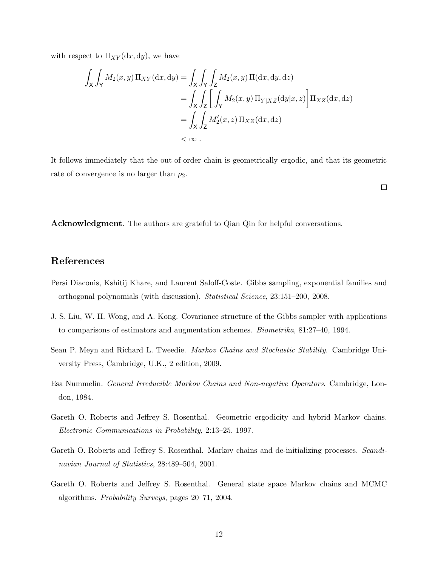with respect to  $\Pi_{XY}(\mathrm{d}x, \mathrm{d}y)$ , we have

$$
\int_{X} \int_{Y} M_{2}(x, y) \Pi_{XY}(\mathrm{d}x, \mathrm{d}y) = \int_{X} \int_{Y} \int_{Z} M_{2}(x, y) \Pi(\mathrm{d}x, \mathrm{d}y, \mathrm{d}z)
$$
\n
$$
= \int_{X} \int_{Z} \left[ \int_{Y} M_{2}(x, y) \Pi_{Y|XZ}(\mathrm{d}y|x, z) \right] \Pi_{XZ}(\mathrm{d}x, \mathrm{d}z)
$$
\n
$$
= \int_{X} \int_{Z} M_{2}'(x, z) \Pi_{XZ}(\mathrm{d}x, \mathrm{d}z)
$$
\n
$$
< \infty.
$$

It follows immediately that the out-of-order chain is geometrically ergodic, and that its geometric rate of convergence is no larger than  $\rho_2$ .

 $\Box$ 

Acknowledgment. The authors are grateful to Qian Qin for helpful conversations.

## References

- <span id="page-11-6"></span>Persi Diaconis, Kshitij Khare, and Laurent Saloff-Coste. Gibbs sampling, exponential families and orthogonal polynomials (with discussion). *Statistical Science*, 23:151–200, 2008.
- <span id="page-11-4"></span>J. S. Liu, W. H. Wong, and A. Kong. Covariance structure of the Gibbs sampler with applications to comparisons of estimators and augmentation schemes. *Biometrika*, 81:27–40, 1994.
- <span id="page-11-0"></span>Sean P. Meyn and Richard L. Tweedie. *Markov Chains and Stochastic Stability*. Cambridge University Press, Cambridge, U.K., 2 edition, 2009.
- <span id="page-11-1"></span>Esa Nummelin. *General Irreducible Markov Chains and Non-negative Operators*. Cambridge, London, 1984.
- <span id="page-11-2"></span>Gareth O. Roberts and Jeffrey S. Rosenthal. Geometric ergodicity and hybrid Markov chains. *Electronic Communications in Probability*, 2:13–25, 1997.
- <span id="page-11-5"></span>Gareth O. Roberts and Jeffrey S. Rosenthal. Markov chains and de-initializing processes. *Scandinavian Journal of Statistics*, 28:489–504, 2001.
- <span id="page-11-3"></span>Gareth O. Roberts and Jeffrey S. Rosenthal. General state space Markov chains and MCMC algorithms. *Probability Surveys*, pages 20–71, 2004.